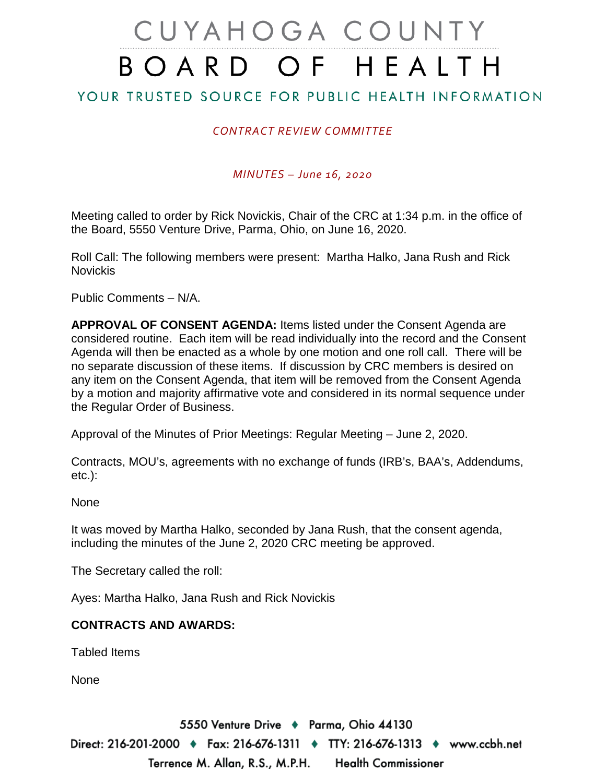## CUYAHOGA COUNTY BOARD OF HEALTH

YOUR TRUSTED SOURCE FOR PUBLIC HEALTH INFORMATION

## *CONTRACT REVIEW COMMITTEE*

*MINUTES – June 16, 2020*

Meeting called to order by Rick Novickis, Chair of the CRC at 1:34 p.m. in the office of the Board, 5550 Venture Drive, Parma, Ohio, on June 16, 2020.

Roll Call: The following members were present: Martha Halko, Jana Rush and Rick Novickis

Public Comments – N/A.

**APPROVAL OF CONSENT AGENDA:** Items listed under the Consent Agenda are considered routine. Each item will be read individually into the record and the Consent Agenda will then be enacted as a whole by one motion and one roll call. There will be no separate discussion of these items. If discussion by CRC members is desired on any item on the Consent Agenda, that item will be removed from the Consent Agenda by a motion and majority affirmative vote and considered in its normal sequence under the Regular Order of Business.

Approval of the Minutes of Prior Meetings: Regular Meeting – June 2, 2020.

Contracts, MOU's, agreements with no exchange of funds (IRB's, BAA's, Addendums, etc.):

None

It was moved by Martha Halko, seconded by Jana Rush, that the consent agenda, including the minutes of the June 2, 2020 CRC meeting be approved.

The Secretary called the roll:

Ayes: Martha Halko, Jana Rush and Rick Novickis

## **CONTRACTS AND AWARDS:**

Tabled Items

None

5550 Venture Drive + Parma, Ohio 44130 Direct: 216-201-2000 ♦ Fax: 216-676-1311 ♦ TTY: 216-676-1313 ♦ www.ccbh.net Terrence M. Allan, R.S., M.P.H. Health Commissioner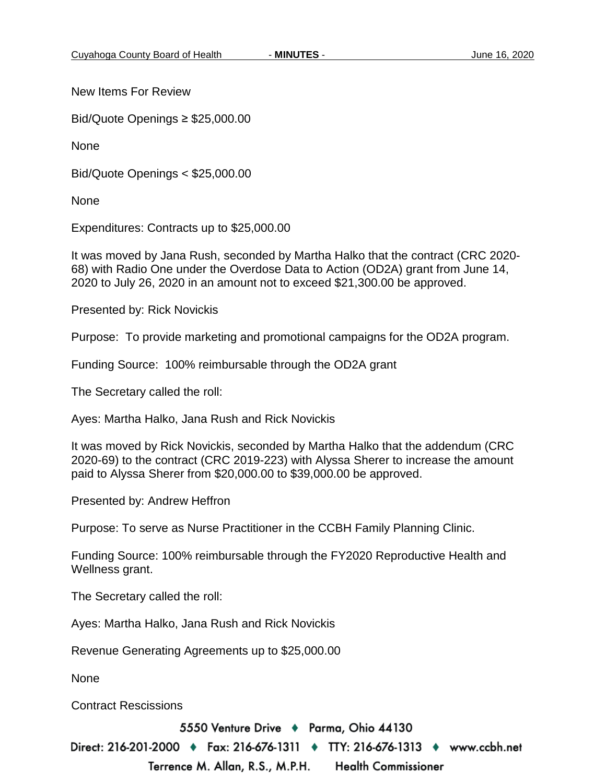New Items For Review

Bid/Quote Openings ≥ \$25,000.00

None

Bid/Quote Openings < \$25,000.00

None

Expenditures: Contracts up to \$25,000.00

It was moved by Jana Rush, seconded by Martha Halko that the contract (CRC 2020- 68) with Radio One under the Overdose Data to Action (OD2A) grant from June 14, 2020 to July 26, 2020 in an amount not to exceed \$21,300.00 be approved.

Presented by: Rick Novickis

Purpose: To provide marketing and promotional campaigns for the OD2A program.

Funding Source: 100% reimbursable through the OD2A grant

The Secretary called the roll:

Ayes: Martha Halko, Jana Rush and Rick Novickis

It was moved by Rick Novickis, seconded by Martha Halko that the addendum (CRC 2020-69) to the contract (CRC 2019-223) with Alyssa Sherer to increase the amount paid to Alyssa Sherer from \$20,000.00 to \$39,000.00 be approved.

Presented by: Andrew Heffron

Purpose: To serve as Nurse Practitioner in the CCBH Family Planning Clinic.

Funding Source: 100% reimbursable through the FY2020 Reproductive Health and Wellness grant.

The Secretary called the roll:

Ayes: Martha Halko, Jana Rush and Rick Novickis

Revenue Generating Agreements up to \$25,000.00

None

Contract Rescissions

5550 Venture Drive ♦ Parma, Ohio 44130

Direct: 216-201-2000 ♦ Fax: 216-676-1311 ♦ TTY: 216-676-1313 ♦ www.ccbh.net

**Health Commissioner** 

Terrence M. Allan, R.S., M.P.H.